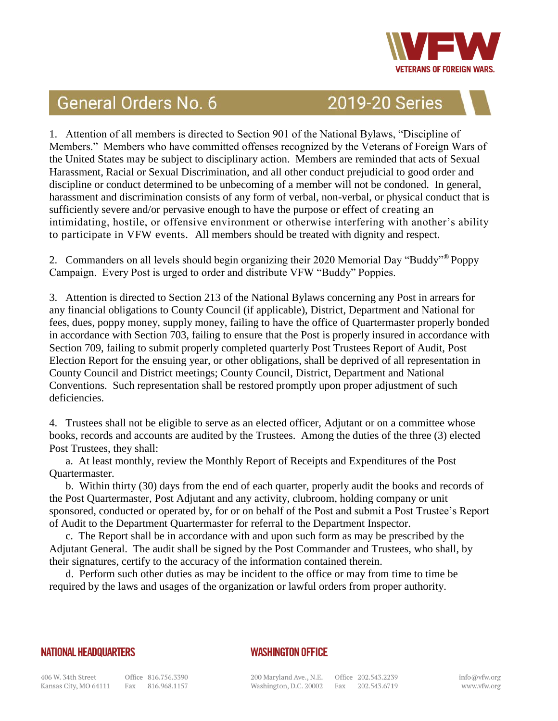

## General Orders No. 6

2019-20 Series

1. Attention of all members is directed to Section 901 of the National Bylaws, "Discipline of Members." Members who have committed offenses recognized by the Veterans of Foreign Wars of the United States may be subject to disciplinary action. Members are reminded that acts of Sexual Harassment, Racial or Sexual Discrimination, and all other conduct prejudicial to good order and discipline or conduct determined to be unbecoming of a member will not be condoned. In general, harassment and discrimination consists of any form of verbal, non-verbal, or physical conduct that is sufficiently severe and/or pervasive enough to have the purpose or effect of creating an intimidating, hostile, or offensive environment or otherwise interfering with another's ability to participate in VFW events. All members should be treated with dignity and respect.

2. Commanders on all levels should begin organizing their 2020 Memorial Day "Buddy"® Poppy Campaign. Every Post is urged to order and distribute VFW "Buddy" Poppies.

3. Attention is directed to Section 213 of the National Bylaws concerning any Post in arrears for any financial obligations to County Council (if applicable), District, Department and National for fees, dues, poppy money, supply money, failing to have the office of Quartermaster properly bonded in accordance with Section 703, failing to ensure that the Post is properly insured in accordance with Section 709, failing to submit properly completed quarterly Post Trustees Report of Audit, Post Election Report for the ensuing year, or other obligations, shall be deprived of all representation in County Council and District meetings; County Council, District, Department and National Conventions. Such representation shall be restored promptly upon proper adjustment of such deficiencies.

4. Trustees shall not be eligible to serve as an elected officer, Adjutant or on a committee whose books, records and accounts are audited by the Trustees. Among the duties of the three (3) elected Post Trustees, they shall:

a. At least monthly, review the Monthly Report of Receipts and Expenditures of the Post Quartermaster.

b. Within thirty (30) days from the end of each quarter, properly audit the books and records of the Post Quartermaster, Post Adjutant and any activity, clubroom, holding company or unit sponsored, conducted or operated by, for or on behalf of the Post and submit a Post Trustee's Report of Audit to the Department Quartermaster for referral to the Department Inspector.

c. The Report shall be in accordance with and upon such form as may be prescribed by the Adjutant General. The audit shall be signed by the Post Commander and Trustees, who shall, by their signatures, certify to the accuracy of the information contained therein.

d. Perform such other duties as may be incident to the office or may from time to time be required by the laws and usages of the organization or lawful orders from proper authority.

## **NATIONAL HEADQUARTERS**

## **WASHINGTON OFFICE**